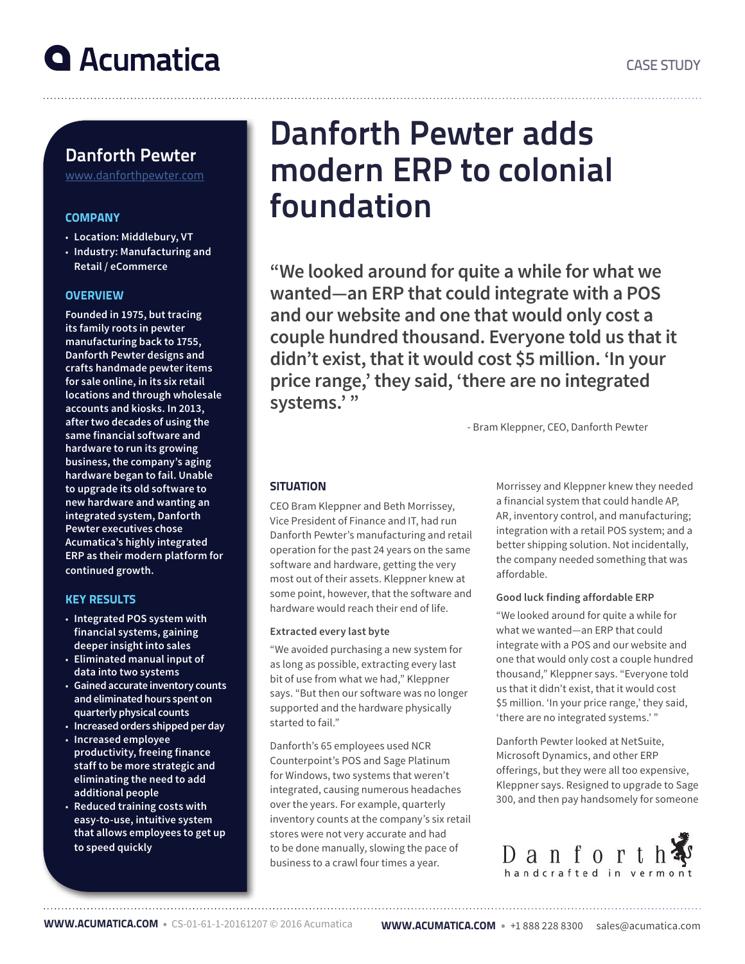

### Danforth Pewter

www.danforthpewter.com

### **COMPANY**

- **Location: Middlebury, VT**
- **Industry: Manufacturing and Retail / eCommerce**

### **OVERVIEW**

**Founded in 1975, but tracing its family roots in pewter manufacturing back to 1755, Danforth Pewter designs and crafts handmade pewter items for sale online, in its six retail locations and through wholesale accounts and kiosks. In 2013, after two decades of using the same financial software and hardware to run its growing business, the company's aging hardware began to fail. Unable to upgrade its old software to new hardware and wanting an integrated system, Danforth Pewter executives chose Acumatica's highly integrated ERP as their modern platform for continued growth.**

### KEY RESULTS

- **Integrated POS system with financial systems, gaining deeper insight into sales**
- **Eliminated manual input of data into two systems**
- **Gained accurate inventory counts and eliminated hours spent on quarterly physical counts**
- **Increased orders shipped per day**
- **Increased employee productivity, freeing finance staff to be more strategic and eliminating the need to add additional people**
- **Reduced training costs with easy-to-use, intuitive system that allows employees to get up to speed quickly**

## Danforth Pewter adds modern ERP to colonial foundation

**"We looked around for quite a while for what we wanted—an ERP that could integrate with a POS and our website and one that would only cost a couple hundred thousand. Everyone told us that it didn't exist, that it would cost \$5 million. 'In your price range,' they said, 'there are no integrated systems.' "** 

- Bram Kleppner, CEO, Danforth Pewter

### **SITUATION**

CEO Bram Kleppner and Beth Morrissey, Vice President of Finance and IT, had run Danforth Pewter's manufacturing and retail operation for the past 24 years on the same software and hardware, getting the very most out of their assets. Kleppner knew at some point, however, that the software and hardware would reach their end of life.

### **Extracted every last byte**

"We avoided purchasing a new system for as long as possible, extracting every last bit of use from what we had," Kleppner says. "But then our software was no longer supported and the hardware physically started to fail."

Danforth's 65 employees used NCR Counterpoint's POS and Sage Platinum for Windows, two systems that weren't integrated, causing numerous headaches over the years. For example, quarterly inventory counts at the company's six retail stores were not very accurate and had to be done manually, slowing the pace of business to a crawl four times a year.

Morrissey and Kleppner knew they needed a financial system that could handle AP, AR, inventory control, and manufacturing; integration with a retail POS system; and a better shipping solution. Not incidentally, the company needed something that was affordable.

### **Good luck finding affordable ERP**

"We looked around for quite a while for what we wanted—an ERP that could integrate with a POS and our website and one that would only cost a couple hundred thousand," Kleppner says. "Everyone told us that it didn't exist, that it would cost \$5 million. 'In your price range,' they said, 'there are no integrated systems.' "

Danforth Pewter looked at NetSuite, Microsoft Dynamics, and other ERP offerings, but they were all too expensive, Kleppner says. Resigned to upgrade to Sage 300, and then pay handsomely for someone